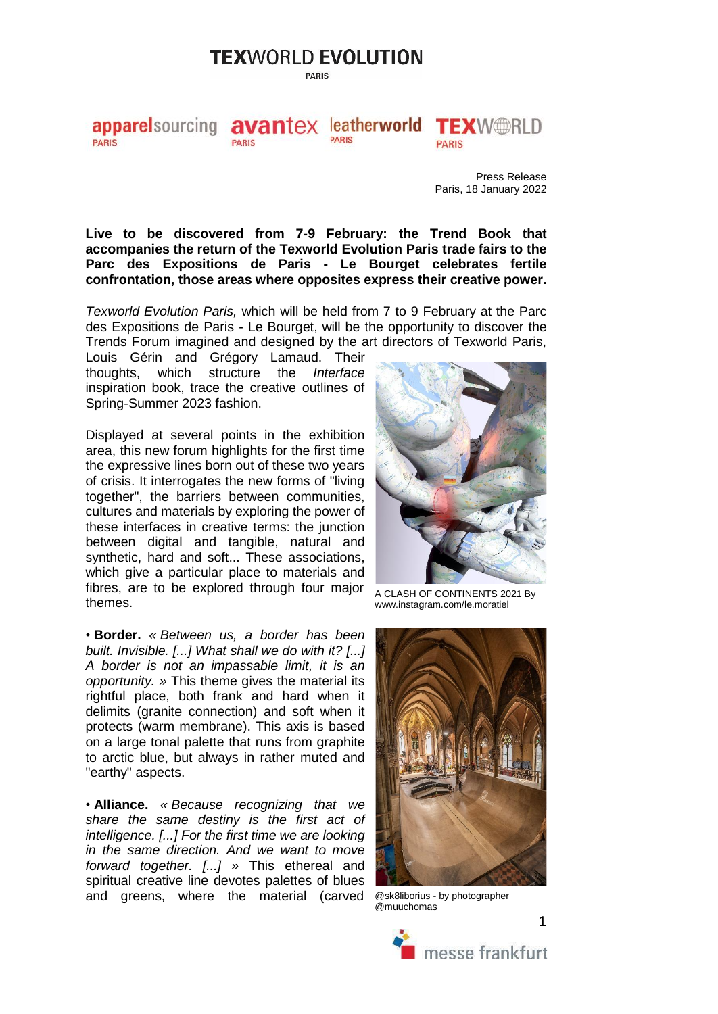## **TEXWORLD EVOLUTION**

**PARIS** 

## apparelsourcing avantex leatherworld TEXW RLD **PARIS PARIS PARIS PARIS**

Press Release Paris, 18 January 2022

**Live to be discovered from 7-9 February: the Trend Book that accompanies the return of the Texworld Evolution Paris trade fairs to the Parc des Expositions de Paris - Le Bourget celebrates fertile confrontation, those areas where opposites express their creative power.**

*Texworld Evolution Paris,* which will be held from 7 to 9 February at the Parc des Expositions de Paris - Le Bourget, will be the opportunity to discover the Trends Forum imagined and designed by the art directors of Texworld Paris,

Louis Gérin and Grégory Lamaud. Their thoughts, which structure the *Interface* inspiration book, trace the creative outlines of Spring-Summer 2023 fashion.

Displayed at several points in the exhibition area, this new forum highlights for the first time the expressive lines born out of these two years of crisis. It interrogates the new forms of "living together", the barriers between communities, cultures and materials by exploring the power of these interfaces in creative terms: the junction between digital and tangible, natural and synthetic, hard and soft... These associations, which give a particular place to materials and fibres, are to be explored through four major themes.

• **Border.** *« Between us, a border has been built. Invisible. [...] What shall we do with it? [...] A border is not an impassable limit, it is an opportunity. »* This theme gives the material its rightful place, both frank and hard when it delimits (granite connection) and soft when it protects (warm membrane). This axis is based on a large tonal palette that runs from graphite to arctic blue, but always in rather muted and "earthy" aspects.

• **Alliance.** *« Because recognizing that we share the same destiny is the first act of intelligence. [...] For the first time we are looking in the same direction. And we want to move forward together. [...] »* This ethereal and spiritual creative line devotes palettes of blues and greens, where the material (carved



A CLASH OF CONTINENTS 2021 By www.instagram.com/le.moratiel



@sk8liborius - by photographer @muuchomas



1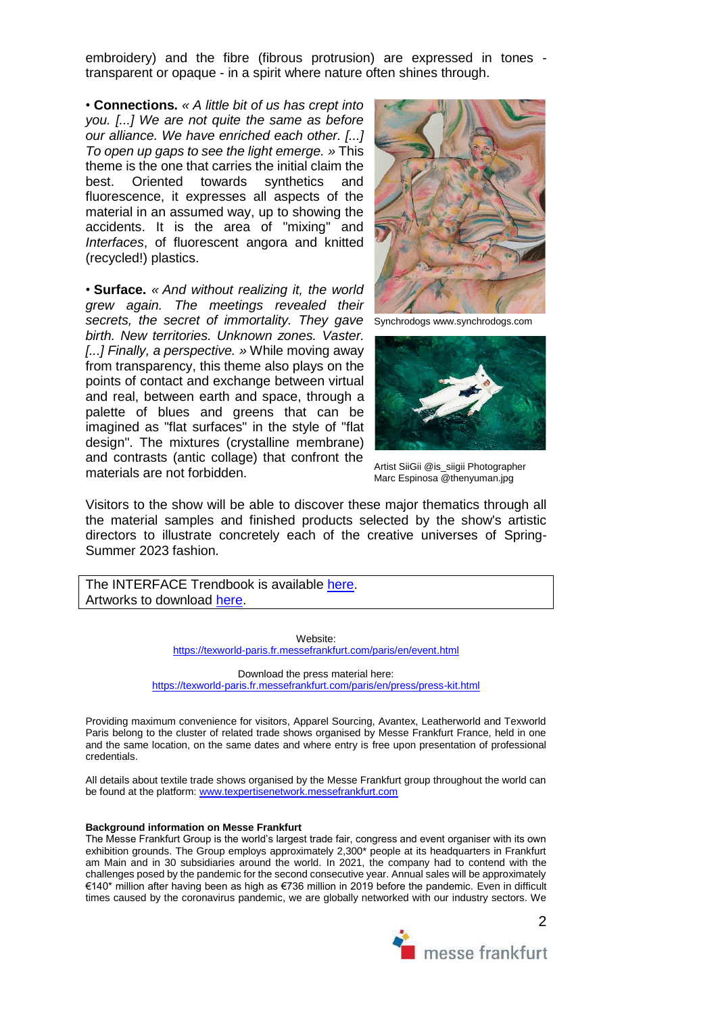embroidery) and the fibre (fibrous protrusion) are expressed in tones transparent or opaque - in a spirit where nature often shines through.

• **Connections.** *« A little bit of us has crept into you. [...] We are not quite the same as before our alliance. We have enriched each other. [...] To open up gaps to see the light emerge. »* This theme is the one that carries the initial claim the best. Oriented towards synthetics and fluorescence, it expresses all aspects of the material in an assumed way, up to showing the accidents. It is the area of "mixing" and *Interfaces*, of fluorescent angora and knitted (recycled!) plastics.

• **Surface.** *« And without realizing it, the world grew again. The meetings revealed their secrets, the secret of immortality. They gave birth. New territories. Unknown zones. Vaster. [...] Finally, a perspective. »* While moving away from transparency, this theme also plays on the points of contact and exchange between virtual and real, between earth and space, through a palette of blues and greens that can be imagined as "flat surfaces" in the style of "flat design". The mixtures (crystalline membrane) and contrasts (antic collage) that confront the materials are not forbidden.



Synchrodogs www.synchrodogs.com



Artist SiiGii @is\_siigii Photographer Marc Espinosa @thenyuman.jpg

Visitors to the show will be able to discover these major thematics through all the material samples and finished products selected by the show's artistic directors to illustrate concretely each of the creative universes of Spring-Summer 2023 fashion.

The INTERFACE Trendbook is available [here.](https://texworld-paris.fr.messefrankfurt.com/content/dam/messefrankfurt-france/texworld-evolution-paris/trends---events/INTERFACE%20SS23.pdf) Artworks to download [here.](https://drive.google.com/drive/folders/1pEnJHW-3EvjZpsrbT-IzuGrU6SJ5gYJp?usp=sharing)

> Website: <https://texworld-paris.fr.messefrankfurt.com/paris/en/event.html>

Download the press material here: <https://texworld-paris.fr.messefrankfurt.com/paris/en/press/press-kit.html>

Providing maximum convenience for visitors, Apparel Sourcing, Avantex, Leatherworld and Texworld Paris belong to the cluster of related trade shows organised by Messe Frankfurt France, held in one and the same location, on the same dates and where entry is free upon presentation of professional credentials.

All details about textile trade shows organised by the Messe Frankfurt group throughout the world can be found at the platform: [www.texpertisenetwork.messefrankfurt.com](http://www.texpertisenetwork.messefrankfurt.com/)

## **Background information on Messe Frankfurt**

The Messe Frankfurt Group is the world's largest trade fair, congress and event organiser with its own exhibition grounds. The Group employs approximately 2,300\* people at its headquarters in Frankfurt am Main and in 30 subsidiaries around the world. In 2021, the company had to contend with the challenges posed by the pandemic for the second consecutive year. Annual sales will be approximately €140\* million after having been as high as €736 million in 2019 before the pandemic. Even in difficult times caused by the coronavirus pandemic, we are globally networked with our industry sectors. We



 $\mathfrak{D}$